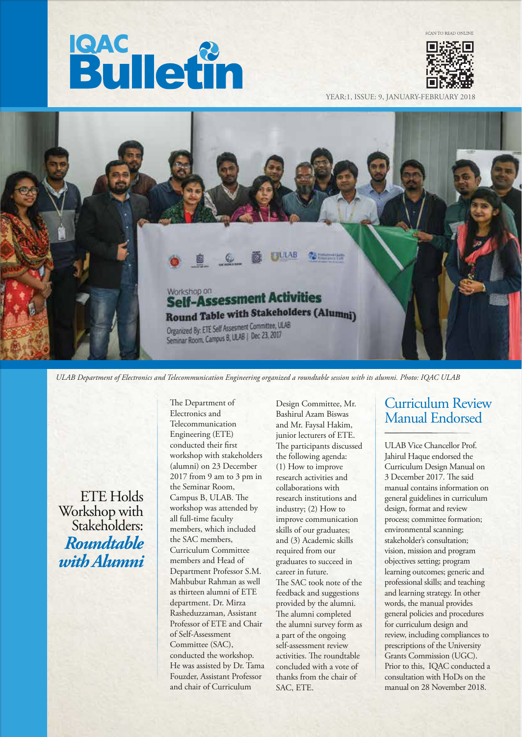# **Bulletin**



YEAR:1, ISSUE: 9, JANUARY-FEBRUAR



*ULAB Department of Electronics and Telecommunication Engineering organized a roundtable session with its alumni. Photo: IQAC ULAB*

ETE Holds Workshop with Stakeholders: *Roundtable with Alumni* The Department of Electronics and Telecommunication Engineering (ETE) conducted their first workshop with stakeholders (alumni) on 23 December 2017 from 9 am to 3 pm in the Seminar Room, Campus B, ULAB. The workshop was attended by all full-time faculty members, which included the SAC members, Curriculum Committee members and Head of Department Professor S.M. Mahbubur Rahman as well as thirteen alumni of ETE department. Dr. Mirza Rasheduzzaman, Assistant Professor of ETE and Chair of Self-Assessment Committee (SAC), conducted the workshop. He was assisted by Dr. Tama Fouzder, Assistant Professor and chair of Curriculum

Design Committee, Mr. Bashirul Azam Biswas and Mr. Faysal Hakim, junior lecturers of ETE. The participants discussed the following agenda: (1) How to improve research activities and collaborations with research institutions and industry; (2) How to improve communication skills of our graduates; and (3) Academic skills required from our graduates to succeed in career in future. The SAC took note of the feedback and suggestions provided by the alumni. The alumni completed the alumni survey form as a part of the ongoing self-assessment review activities. The roundtable concluded with a vote of thanks from the chair of SAC, ETE.

# Curriculum Review Manual Endorsed

ULAB Vice Chancellor Prof. Jahirul Haque endorsed the Curriculum Design Manual on 3 December 2017. The said manual contains information on general guidelines in curriculum design, format and review process; committee formation; environmental scanning; stakeholder's consultation; vision, mission and program objectives setting; program learning outcomes; generic and professional skills; and teaching and learning strategy. In other words, the manual provides general policies and procedures for curriculum design and review, including compliances to prescriptions of the University Grants Commission (UGC). Prior to this, IQAC conducted a consultation with HoDs on the manual on 28 November 2018.